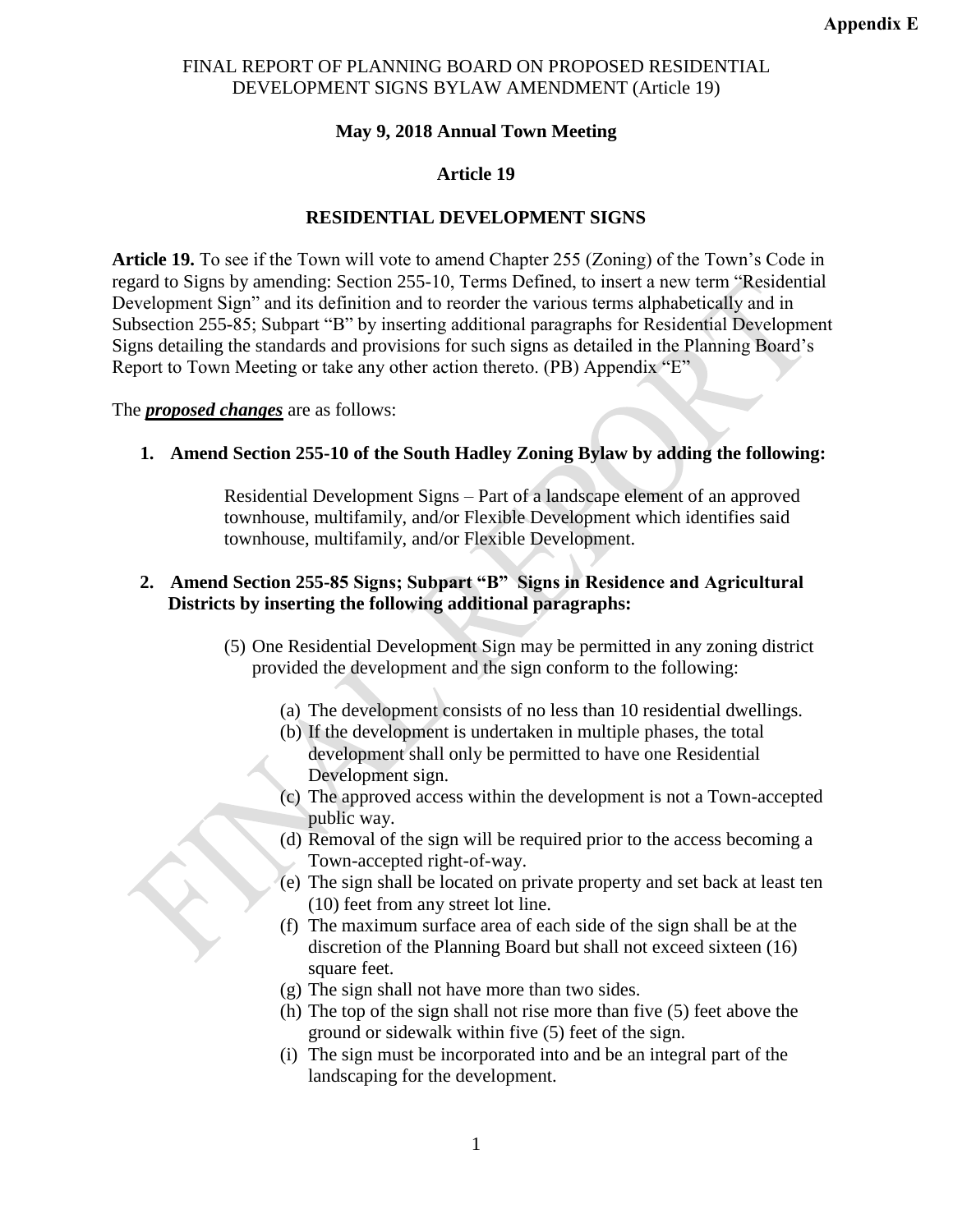### **May 9, 2018 Annual Town Meeting**

#### **Article 19**

## **RESIDENTIAL DEVELOPMENT SIGNS**

**Article 19.** To see if the Town will vote to amend Chapter 255 (Zoning) of the Town's Code in regard to Signs by amending: Section 255-10, Terms Defined, to insert a new term "Residential Development Sign" and its definition and to reorder the various terms alphabetically and in Subsection 255-85; Subpart "B" by inserting additional paragraphs for Residential Development Signs detailing the standards and provisions for such signs as detailed in the Planning Board's Report to Town Meeting or take any other action thereto. (PB) Appendix "E"

The *proposed changes* are as follows:

#### **1. Amend Section 255-10 of the South Hadley Zoning Bylaw by adding the following:**

Residential Development Signs – Part of a landscape element of an approved townhouse, multifamily, and/or Flexible Development which identifies said townhouse, multifamily, and/or Flexible Development.

# **2. Amend Section 255-85 Signs; Subpart "B" Signs in Residence and Agricultural Districts by inserting the following additional paragraphs:**

- (5) One Residential Development Sign may be permitted in any zoning district provided the development and the sign conform to the following:
	- (a) The development consists of no less than 10 residential dwellings.
	- (b) If the development is undertaken in multiple phases, the total development shall only be permitted to have one Residential Development sign.
	- (c) The approved access within the development is not a Town-accepted public way.
	- (d) Removal of the sign will be required prior to the access becoming a Town-accepted right-of-way.
	- (e) The sign shall be located on private property and set back at least ten (10) feet from any street lot line.
	- (f) The maximum surface area of each side of the sign shall be at the discretion of the Planning Board but shall not exceed sixteen (16) square feet.
	- (g) The sign shall not have more than two sides.
	- (h) The top of the sign shall not rise more than five (5) feet above the ground or sidewalk within five (5) feet of the sign.
	- (i) The sign must be incorporated into and be an integral part of the landscaping for the development.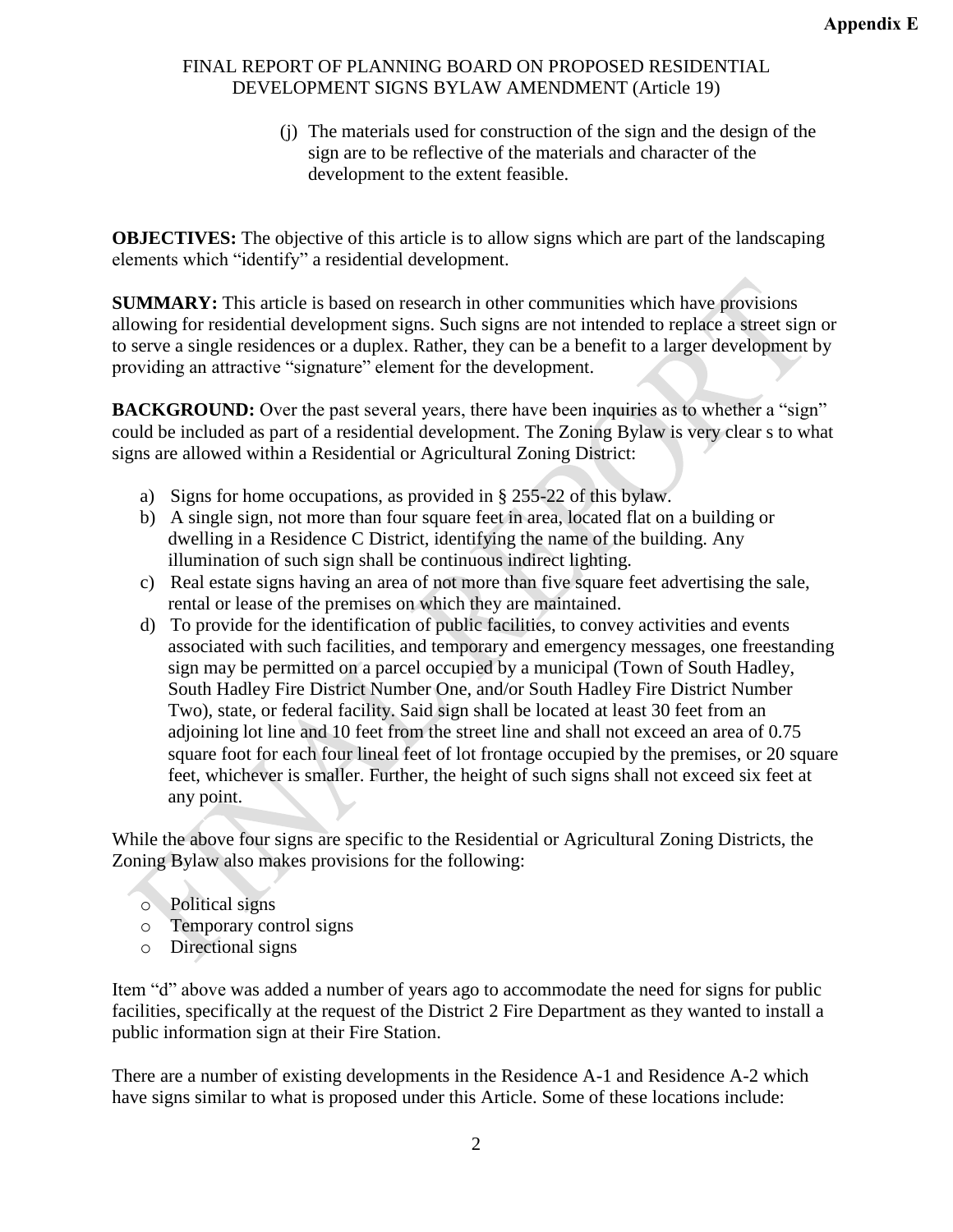(j) The materials used for construction of the sign and the design of the sign are to be reflective of the materials and character of the development to the extent feasible.

**OBJECTIVES:** The objective of this article is to allow signs which are part of the landscaping elements which "identify" a residential development.

**SUMMARY:** This article is based on research in other communities which have provisions allowing for residential development signs. Such signs are not intended to replace a street sign or to serve a single residences or a duplex. Rather, they can be a benefit to a larger development by providing an attractive "signature" element for the development.

**BACKGROUND:** Over the past several years, there have been inquiries as to whether a "sign" could be included as part of a residential development. The Zoning Bylaw is very clear s to what signs are allowed within a Residential or Agricultural Zoning District:

- a) Signs for home occupations, as provided in § 255-22 of this bylaw.
- b) A single sign, not more than four square feet in area, located flat on a building or dwelling in a Residence C District, identifying the name of the building. Any illumination of such sign shall be continuous indirect lighting.
- c) Real estate signs having an area of not more than five square feet advertising the sale, rental or lease of the premises on which they are maintained.
- d) To provide for the identification of public facilities, to convey activities and events associated with such facilities, and temporary and emergency messages, one freestanding sign may be permitted on a parcel occupied by a municipal (Town of South Hadley, South Hadley Fire District Number One, and/or South Hadley Fire District Number Two), state, or federal facility. Said sign shall be located at least 30 feet from an adjoining lot line and 10 feet from the street line and shall not exceed an area of 0.75 square foot for each four lineal feet of lot frontage occupied by the premises, or 20 square feet, whichever is smaller. Further, the height of such signs shall not exceed six feet at any point.

While the above four signs are specific to the Residential or Agricultural Zoning Districts, the Zoning Bylaw also makes provisions for the following:

- o Political signs
- o Temporary control signs
- o Directional signs

Item "d" above was added a number of years ago to accommodate the need for signs for public facilities, specifically at the request of the District 2 Fire Department as they wanted to install a public information sign at their Fire Station.

There are a number of existing developments in the Residence A-1 and Residence A-2 which have signs similar to what is proposed under this Article. Some of these locations include: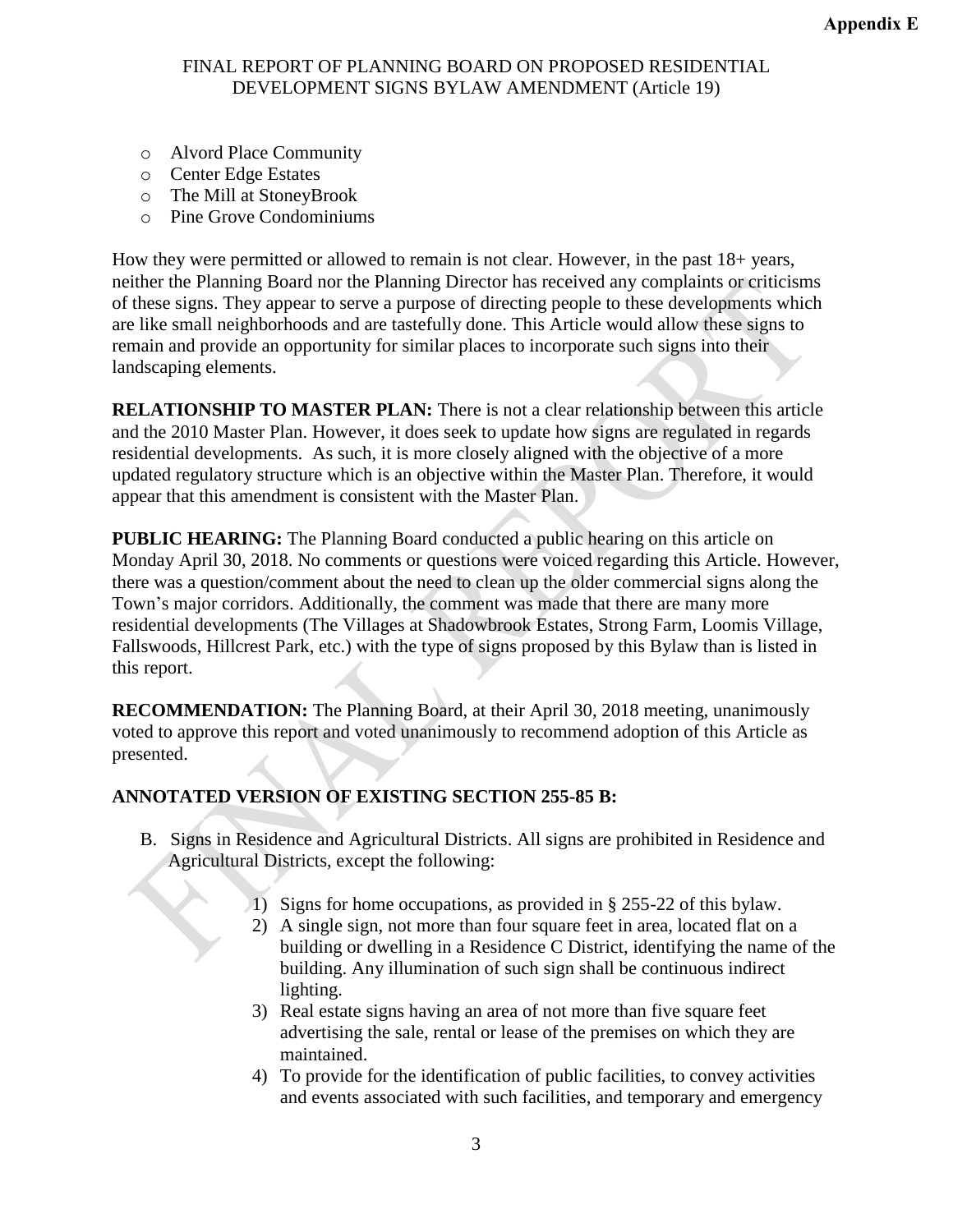- o Alvord Place Community
- o Center Edge Estates
- o The Mill at StoneyBrook
- o Pine Grove Condominiums

How they were permitted or allowed to remain is not clear. However, in the past 18+ years, neither the Planning Board nor the Planning Director has received any complaints or criticisms of these signs. They appear to serve a purpose of directing people to these developments which are like small neighborhoods and are tastefully done. This Article would allow these signs to remain and provide an opportunity for similar places to incorporate such signs into their landscaping elements.

**RELATIONSHIP TO MASTER PLAN:** There is not a clear relationship between this article and the 2010 Master Plan. However, it does seek to update how signs are regulated in regards residential developments. As such, it is more closely aligned with the objective of a more updated regulatory structure which is an objective within the Master Plan. Therefore, it would appear that this amendment is consistent with the Master Plan.

**PUBLIC HEARING:** The Planning Board conducted a public hearing on this article on Monday April 30, 2018. No comments or questions were voiced regarding this Article. However, there was a question/comment about the need to clean up the older commercial signs along the Town's major corridors. Additionally, the comment was made that there are many more residential developments (The Villages at Shadowbrook Estates, Strong Farm, Loomis Village, Fallswoods, Hillcrest Park, etc.) with the type of signs proposed by this Bylaw than is listed in this report.

**RECOMMENDATION:** The Planning Board, at their April 30, 2018 meeting, unanimously voted to approve this report and voted unanimously to recommend adoption of this Article as presented.

# **ANNOTATED VERSION OF EXISTING SECTION 255-85 B:**

- B. Signs in Residence and Agricultural Districts. All signs are prohibited in Residence and Agricultural Districts, except the following:
	- 1) Signs for home occupations, as provided in § 255-22 of this bylaw.
	- 2) A single sign, not more than four square feet in area, located flat on a building or dwelling in a Residence C District, identifying the name of the building. Any illumination of such sign shall be continuous indirect lighting.
	- 3) Real estate signs having an area of not more than five square feet advertising the sale, rental or lease of the premises on which they are maintained.
	- 4) To provide for the identification of public facilities, to convey activities and events associated with such facilities, and temporary and emergency